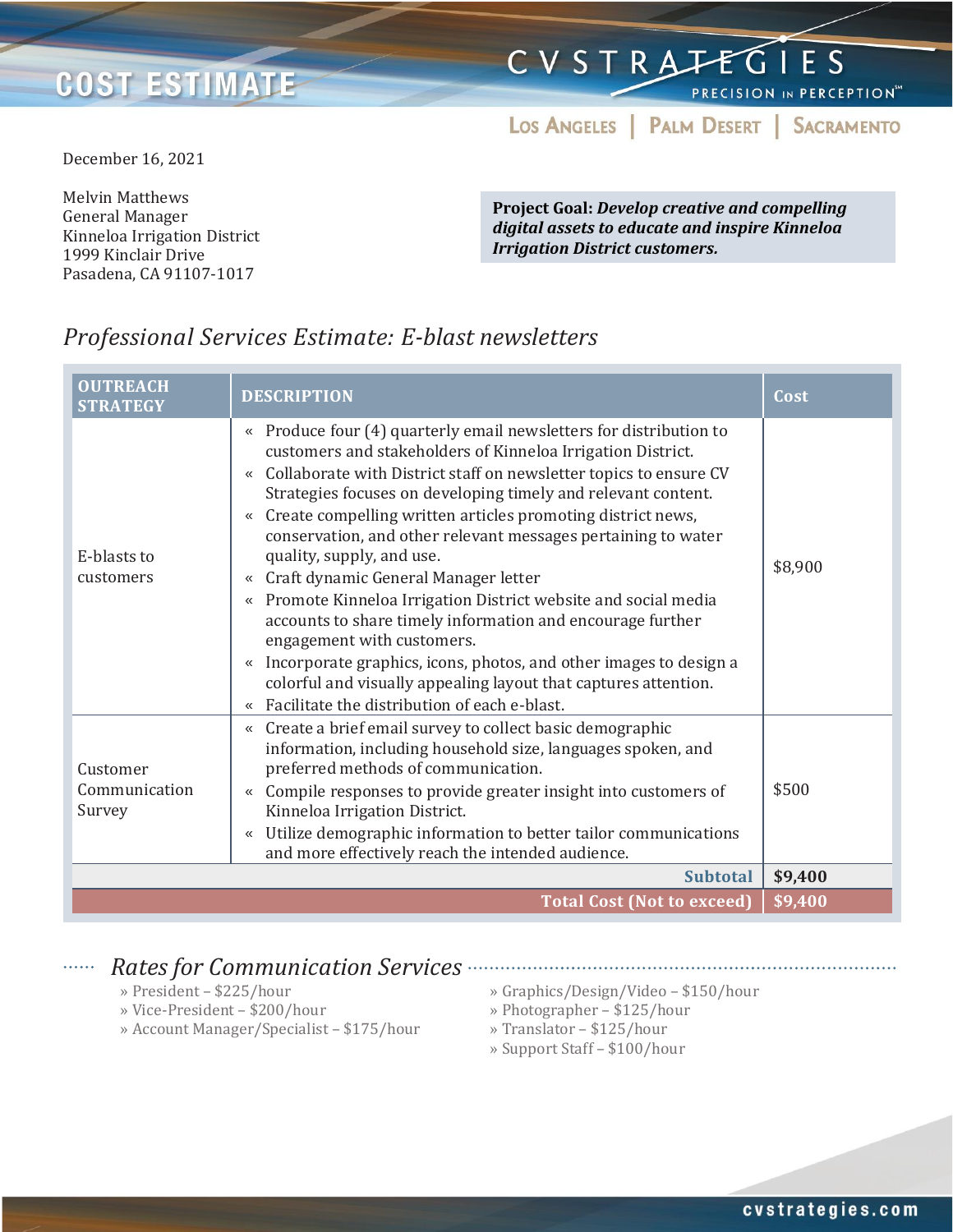## **COST ESTIMATE**

# CVSTRATEGIES

PRECISION IN PERCEPTION<sup>54</sup>

LOS ANGELES | PALM DESERT | SACRAMENTO

December 16, 2021

Melvin Matthews General Manager Kinneloa Irrigation District 1999 Kinclair Drive Pasadena, CA 91107-1017

**Project Goal:** *Develop creative and compelling digital assets to educate and inspire Kinneloa Irrigation District customers.*

### *Professional Services Estimate: E-blast newsletters*

| <b>OUTREACH</b><br><b>STRATEGY</b>  | <b>DESCRIPTION</b>                                                                                                                                                                                                                                                                                                                                                                                                                                                                                                                                                                                                                                                                                                                                                                                                                                                                    | Cost    |
|-------------------------------------|---------------------------------------------------------------------------------------------------------------------------------------------------------------------------------------------------------------------------------------------------------------------------------------------------------------------------------------------------------------------------------------------------------------------------------------------------------------------------------------------------------------------------------------------------------------------------------------------------------------------------------------------------------------------------------------------------------------------------------------------------------------------------------------------------------------------------------------------------------------------------------------|---------|
| E-blasts to<br>customers            | Produce four (4) quarterly email newsletters for distribution to<br>≪<br>customers and stakeholders of Kinneloa Irrigation District.<br>« Collaborate with District staff on newsletter topics to ensure CV<br>Strategies focuses on developing timely and relevant content.<br>« Create compelling written articles promoting district news,<br>conservation, and other relevant messages pertaining to water<br>quality, supply, and use.<br>Craft dynamic General Manager letter<br>≪<br>Promote Kinneloa Irrigation District website and social media<br>$\ll$<br>accounts to share timely information and encourage further<br>engagement with customers.<br>Incorporate graphics, icons, photos, and other images to design a<br>$\ll$<br>colorful and visually appealing layout that captures attention.<br>Facilitate the distribution of each e-blast.<br>$\langle\!\langle$ | \$8,900 |
| Customer<br>Communication<br>Survey | Create a brief email survey to collect basic demographic<br>$\ll$<br>information, including household size, languages spoken, and<br>preferred methods of communication.<br>Compile responses to provide greater insight into customers of<br>$\ll$<br>Kinneloa Irrigation District.<br>Utilize demographic information to better tailor communications<br>$\ll$<br>and more effectively reach the intended audience.                                                                                                                                                                                                                                                                                                                                                                                                                                                                 |         |
|                                     | <b>Subtotal</b>                                                                                                                                                                                                                                                                                                                                                                                                                                                                                                                                                                                                                                                                                                                                                                                                                                                                       | \$9,400 |
|                                     | <b>Total Cost (Not to exceed)</b>                                                                                                                                                                                                                                                                                                                                                                                                                                                                                                                                                                                                                                                                                                                                                                                                                                                     | \$9,400 |

### *Rates for Communication Services*

- » President \$225/hour
- » Vice-President \$200/hour
- » Account Manager/Specialist \$175/hour

» Graphics/Design/Video – \$150/hour

- » Photographer \$125/hour
- » Translator \$125/hour
- » Support Staff \$100/hour